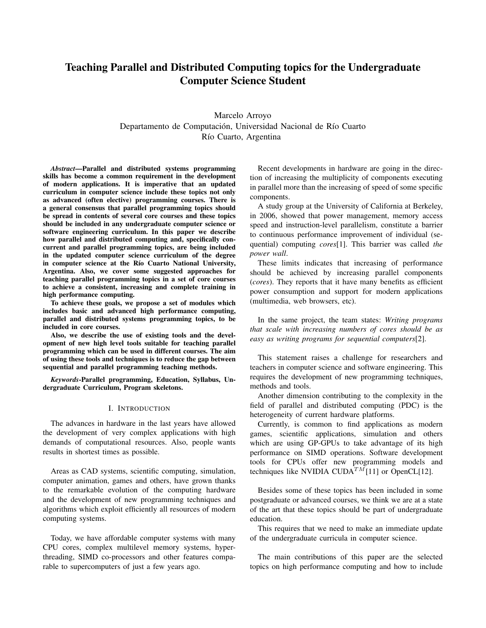# Teaching Parallel and Distributed Computing topics for the Undergraduate Computer Science Student

Marcelo Arroyo Departamento de Computación, Universidad Nacional de Río Cuarto Río Cuarto, Argentina

*Abstract*—Parallel and distributed systems programming skills has become a common requirement in the development of modern applications. It is imperative that an updated curriculum in computer science include these topics not only as advanced (often elective) programming courses. There is a general consensus that parallel programming topics should be spread in contents of several core courses and these topics should be included in any undergraduate computer science or software engineering curriculum. In this paper we describe how parallel and distributed computing and, specifically concurrent and parallel programming topics, are being included in the updated computer science curriculum of the degree in computer science at the Río Cuarto National University, Argentina. Also, we cover some suggested approaches for teaching parallel programming topics in a set of core courses to achieve a consistent, increasing and complete training in high performance computing.

To achieve these goals, we propose a set of modules which includes basic and advanced high performance computing, parallel and distributed systems programming topics, to be included in core courses.

Also, we describe the use of existing tools and the development of new high level tools suitable for teaching parallel programming which can be used in different courses. The aim of using these tools and techniques is to reduce the gap between sequential and parallel programming teaching methods.

*Keywords*-Parallel programming, Education, Syllabus, Undergraduate Curriculum, Program skeletons.

## I. INTRODUCTION

The advances in hardware in the last years have allowed the development of very complex applications with high demands of computational resources. Also, people wants results in shortest times as possible.

Areas as CAD systems, scientific computing, simulation, computer animation, games and others, have grown thanks to the remarkable evolution of the computing hardware and the development of new programming techniques and algorithms which exploit efficiently all resources of modern computing systems.

Today, we have affordable computer systems with many CPU cores, complex multilevel memory systems, hyperthreading, SIMD co-processors and other features comparable to supercomputers of just a few years ago.

Recent developments in hardware are going in the direction of increasing the multiplicity of components executing in parallel more than the increasing of speed of some specific components.

A study group at the University of California at Berkeley, in 2006, showed that power management, memory access speed and instruction-level parallelism, constitute a barrier to continuous performance improvement of individual (sequential) computing *cores*[1]. This barrier was called *the power wall*.

These limits indicates that increasing of performance should be achieved by increasing parallel components (*cores*). They reports that it have many benefits as efficient power consumption and support for modern applications (multimedia, web browsers, etc).

In the same project, the team states: *Writing programs that scale with increasing numbers of cores should be as easy as writing programs for sequential computers*[2].

This statement raises a challenge for researchers and teachers in computer science and software engineering. This requires the development of new programming techniques, methods and tools.

Another dimension contributing to the complexity in the field of parallel and distributed computing (PDC) is the heterogeneity of current hardware platforms.

Currently, is common to find applications as modern games, scientific applications, simulation and others which are using GP-GPUs to take advantage of its high performance on SIMD operations. Software development tools for CPUs offer new programming models and techniques like NVIDIA CUDA<sup>TM</sup>[11] or OpenCL[12].

Besides some of these topics has been included in some postgraduate or advanced courses, we think we are at a state of the art that these topics should be part of undergraduate education.

This requires that we need to make an immediate update of the undergraduate curricula in computer science.

The main contributions of this paper are the selected topics on high performance computing and how to include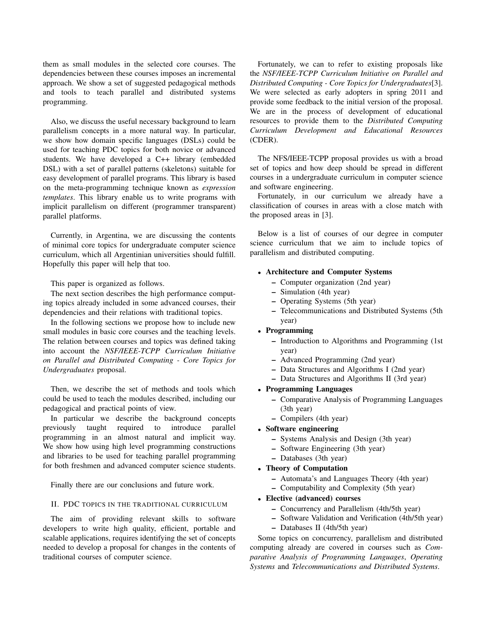them as small modules in the selected core courses. The dependencies between these courses imposes an incremental approach. We show a set of suggested pedagogical methods and tools to teach parallel and distributed systems programming.

Also, we discuss the useful necessary background to learn parallelism concepts in a more natural way. In particular, we show how domain specific languages (DSLs) could be used for teaching PDC topics for both novice or advanced students. We have developed a C++ library (embedded DSL) with a set of parallel patterns (skeletons) suitable for easy development of parallel programs. This library is based on the meta-programming technique known as *expression templates*. This library enable us to write programs with implicit parallelism on different (programmer transparent) parallel platforms.

Currently, in Argentina, we are discussing the contents of minimal core topics for undergraduate computer science curriculum, which all Argentinian universities should fulfill. Hopefully this paper will help that too.

This paper is organized as follows.

The next section describes the high performance computing topics already included in some advanced courses, their dependencies and their relations with traditional topics.

In the following sections we propose how to include new small modules in basic core courses and the teaching levels. The relation between courses and topics was defined taking into account the *NSF/IEEE-TCPP Curriculum Initiative on Parallel and Distributed Computing - Core Topics for Undergraduates* proposal.

Then, we describe the set of methods and tools which could be used to teach the modules described, including our pedagogical and practical points of view.

In particular we describe the background concepts previously taught required to introduce parallel programming in an almost natural and implicit way. We show how using high level programming constructions and libraries to be used for teaching parallel programming for both freshmen and advanced computer science students.

Finally there are our conclusions and future work.

## II. PDC TOPICS IN THE TRADITIONAL CURRICULUM

The aim of providing relevant skills to software developers to write high quality, efficient, portable and scalable applications, requires identifying the set of concepts needed to develop a proposal for changes in the contents of traditional courses of computer science.

Fortunately, we can to refer to existing proposals like the *NSF/IEEE-TCPP Curriculum Initiative on Parallel and Distributed Computing - Core Topics for Undergraduates*[3]. We were selected as early adopters in spring 2011 and provide some feedback to the initial version of the proposal. We are in the process of development of educational resources to provide them to the *Distributed Computing Curriculum Development and Educational Resources* (CDER).

The NFS/IEEE-TCPP proposal provides us with a broad set of topics and how deep should be spread in different courses in a undergraduate curriculum in computer science and software engineering.

Fortunately, in our curriculum we already have a classification of courses in areas with a close match with the proposed areas in [3].

Below is a list of courses of our degree in computer science curriculum that we aim to include topics of parallelism and distributed computing.

## • Architecture and Computer Systems

- Computer organization (2nd year)
- Simulation (4th year)
- Operating Systems (5th year)
- Telecommunications and Distributed Systems (5th year)
- Programming
	- Introduction to Algorithms and Programming (1st year)
	- Advanced Programming (2nd year)
	- Data Structures and Algorithms I (2nd year)
	- Data Structures and Algorithms II (3rd year)

## • Programming Languages

- Comparative Analysis of Programming Languages (3th year)
- Compilers (4th year)

## • Software engineering

- Systems Analysis and Design (3th year)
- Software Engineering (3th year)
- Databases (3th year)

## • Theory of Computation

- Automata's and Languages Theory (4th year)
- Computability and Complexity (5th year)

## • Elective (advanced) courses

- Concurrency and Parallelism (4th/5th year)
- Software Validation and Verification (4th/5th year)
- Databases II (4th/5th year)

Some topics on concurrency, parallelism and distributed computing already are covered in courses such as *Comparative Analysis of Programming Languages*, *Operating Systems* and *Telecommunications and Distributed Systems*.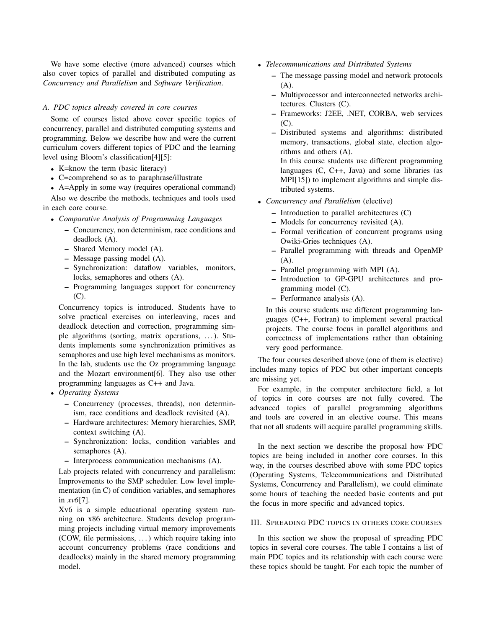We have some elective (more advanced) courses which also cover topics of parallel and distributed computing as *Concurrency and Parallelism* and *Software Verification*.

## *A. PDC topics already covered in core courses*

Some of courses listed above cover specific topics of concurrency, parallel and distributed computing systems and programming. Below we describe how and were the current curriculum covers different topics of PDC and the learning level using Bloom's classification[4][5]:

- K=know the term (basic literacy)
- C=comprehend so as to paraphrase/illustrate
- A=Apply in some way (requires operational command)

Also we describe the methods, techniques and tools used in each core course.

- *Comparative Analysis of Programming Languages*
	- Concurrency, non determinism, race conditions and deadlock (A).
	- Shared Memory model (A).
	- Message passing model (A).
	- Synchronization: dataflow variables, monitors, locks, semaphores and others (A).
	- Programming languages support for concurrency (C).

Concurrency topics is introduced. Students have to solve practical exercises on interleaving, races and deadlock detection and correction, programming simple algorithms (sorting, matrix operations, . . . ). Students implements some synchronization primitives as semaphores and use high level mechanisms as monitors. In the lab, students use the Oz programming language and the Mozart environment[6]. They also use other programming languages as C++ and Java.

- *Operating Systems*
	- Concurrency (processes, threads), non determinism, race conditions and deadlock revisited (A).
	- Hardware architectures: Memory hierarchies, SMP, context switching (A).
	- Synchronization: locks, condition variables and semaphores (A).
	- Interprocess communication mechanisms (A).

Lab projects related with concurrency and parallelism: Improvements to the SMP scheduler. Low level implementation (in C) of condition variables, and semaphores in *xv6*[7].

Xv6 is a simple educational operating system running on x86 architecture. Students develop programming projects including virtual memory improvements (COW, file permissions, . . . ) which require taking into account concurrency problems (race conditions and deadlocks) mainly in the shared memory programming model.

- *Telecommunications and Distributed Systems*
	- The message passing model and network protocols (A).
	- Multiprocessor and interconnected networks architectures. Clusters (C).
	- Frameworks: J2EE, .NET, CORBA, web services  $(C)$

– Distributed systems and algorithms: distributed memory, transactions, global state, election algorithms and others (A). In this course students use different programming

languages (C, C++, Java) and some libraries (as MPI[15]) to implement algorithms and simple distributed systems.

- *Concurrency and Parallelism* (elective)
	- Introduction to parallel architectures (C)
	- Models for concurrency revisited (A).
	- Formal verification of concurrent programs using Owiki-Gries techniques (A).
	- Parallel programming with threads and OpenMP  $(A)$ .
	- Parallel programming with MPI (A).
	- Introduction to GP-GPU architectures and programming model (C).
	- Performance analysis (A).

In this course students use different programming languages (C++, Fortran) to implement several practical projects. The course focus in parallel algorithms and correctness of implementations rather than obtaining very good performance.

The four courses described above (one of them is elective) includes many topics of PDC but other important concepts are missing yet.

For example, in the computer architecture field, a lot of topics in core courses are not fully covered. The advanced topics of parallel programming algorithms and tools are covered in an elective course. This means that not all students will acquire parallel programming skills.

In the next section we describe the proposal how PDC topics are being included in another core courses. In this way, in the courses described above with some PDC topics (Operating Systems, Telecommunications and Distributed Systems, Concurrency and Parallelism), we could eliminate some hours of teaching the needed basic contents and put the focus in more specific and advanced topics.

## III. SPREADING PDC TOPICS IN OTHERS CORE COURSES

In this section we show the proposal of spreading PDC topics in several core courses. The table I contains a list of main PDC topics and its relationship with each course were these topics should be taught. For each topic the number of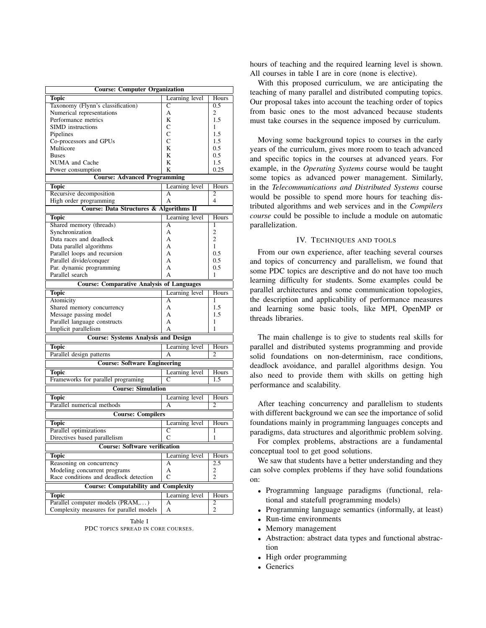| <b>Course: Computer Organization</b>             |                |                |
|--------------------------------------------------|----------------|----------------|
| <b>Topic</b>                                     | Learning level | Hours          |
| Taxonomy (Flynn's classification)                | C              | 0.5            |
| Numerical representations                        | А              | 2              |
| Performance metrics                              | K              | 1.5            |
| <b>SIMD</b> instructions                         | C              | 1              |
| Pipelines                                        | C              | 1.5            |
| Co-processors and GPUs                           | C              | 1.5            |
| Multicore                                        | K              | 0.5            |
| <b>Buses</b>                                     | K              | 0.5            |
| NUMA and Cache                                   | K              | 1.5            |
| Power consumption                                | K              | 0.25           |
| <b>Course: Advanced Programming</b>              |                |                |
| <b>Topic</b>                                     | Learning level | Hours          |
| Recursive decomposition                          | А              | 2              |
| High order programming                           | А              | 4              |
| Course: Data Structures & Algorithms II          |                |                |
| <b>Topic</b>                                     | Learning level | Hours          |
| Shared memory (threads)                          | А              | 1              |
| Synchronization                                  | A              | $\overline{2}$ |
| Data races and deadlock                          | A              | $\overline{c}$ |
| Data parallel algorithms                         | A              | 1              |
| Parallel loops and recursion                     | A              | 0.5            |
| Parallel divide/conquer                          | A              | 0.5            |
| Par. dynamic programming                         | A              | 0.5            |
| Parallel search                                  | А              | 1              |
| <b>Course: Comparative Analysis of Languages</b> |                |                |
| Topic                                            | Learning level | Hours          |
| Atomicity                                        | А              | 1              |
| Shared memory concurrency                        | A              | 1.5            |
| Message passing model                            | А              | 1.5            |
| Parallel language constructs                     | A              | 1              |
| Implicit parallelism                             | А              | 1              |
| <b>Course: Systems Analysis and Design</b>       |                |                |
| <b>Topic</b>                                     | Learning level | <b>Hours</b>   |
| Parallel design patterns                         | А              | 2              |
|                                                  |                |                |
| <b>Course: Software Engineering</b>              |                |                |
| <b>Topic</b>                                     | Learning level | Hours          |
| Frameworks for parallel programing               | С              | 1.5            |
| <b>Course: Simulation</b>                        |                |                |
| <b>Topic</b>                                     | Learning level | Hours          |
| Parallel numerical methods                       | А              | 2              |
| <b>Course: Compilers</b>                         |                |                |
| Topic                                            | Learning level | Hours          |
| Parallel optimizations                           | C              | 1              |
| Directives based parallelism                     | С              | 1              |
| <b>Course: Software verification</b>             |                |                |
| <b>Topic</b>                                     | Learning level | <b>Hours</b>   |
| Reasoning on concurrency                         | А              | 2.5            |
| Modeling concurrent programs                     | A              | 2              |
| Race conditions and deadlock detection           | $\mathsf{C}$   | $\overline{2}$ |
| <b>Course: Computability and</b>                 |                |                |
| <b>Complexity</b>                                |                |                |
| <b>Topic</b>                                     | Learning level | Hours          |
| Parallel computer models (PRAM,)                 | А              | 2              |
| Complexity measures for parallel models          | А              | $\overline{c}$ |

Table I PDC TOPICS SPREAD IN CORE COURSES.

hours of teaching and the required learning level is shown. All courses in table I are in core (none is elective).

With this proposed curriculum, we are anticipating the teaching of many parallel and distributed computing topics. Our proposal takes into account the teaching order of topics from basic ones to the most advanced because students must take courses in the sequence imposed by curriculum.

Moving some background topics to courses in the early years of the curriculum, gives more room to teach advanced and specific topics in the courses at advanced years. For example, in the *Operating Systems* course would be taught some topics as advanced power management. Similarly, in the *Telecommunications and Distributed Systems* course would be possible to spend more hours for teaching distributed algorithms and web services and in the *Compilers course* could be possible to include a module on automatic parallelization.

## IV. TECHNIQUES AND TOOLS

From our own experience, after teaching several courses and topics of concurrency and parallelism, we found that some PDC topics are descriptive and do not have too much learning difficulty for students. Some examples could be parallel architectures and some communication topologies, the description and applicability of performance measures and learning some basic tools, like MPI, OpenMP or threads libraries.

The main challenge is to give to students real skills for parallel and distributed systems programming and provide solid foundations on non-determinism, race conditions, deadlock avoidance, and parallel algorithms design. You also need to provide them with skills on getting high performance and scalability.

After teaching concurrency and parallelism to students with different background we can see the importance of solid foundations mainly in programming languages concepts and paradigms, data structures and algorithmic problem solving.

For complex problems, abstractions are a fundamental conceptual tool to get good solutions.

We saw that students have a better understanding and they can solve complex problems if they have solid foundations on:

- Programming language paradigms (functional, relational and statefull programming models)
- Programming language semantics (informally, at least)
- Run-time environments
- Memory management
- Abstraction: abstract data types and functional abstraction
- High order programming
- Generics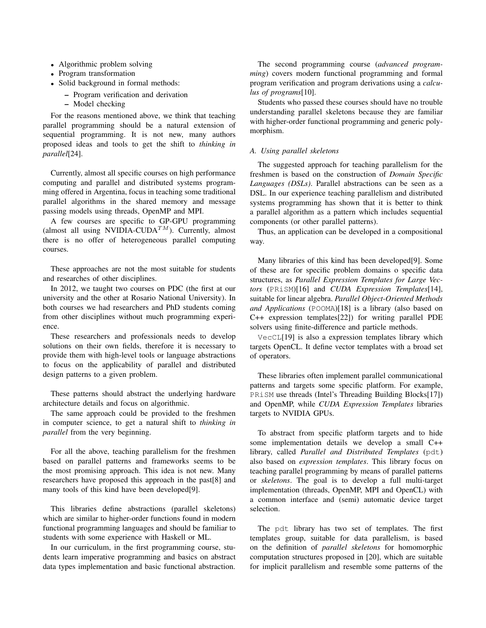- Algorithmic problem solving
- Program transformation
- Solid background in formal methods:
	- Program verification and derivation
	- Model checking

For the reasons mentioned above, we think that teaching parallel programming should be a natural extension of sequential programming. It is not new, many authors proposed ideas and tools to get the shift to *thinking in parallel*[24].

Currently, almost all specific courses on high performance computing and parallel and distributed systems programming offered in Argentina, focus in teaching some traditional parallel algorithms in the shared memory and message passing models using threads, OpenMP and MPI.

A few courses are specific to GP-GPU programming (almost all using NVIDIA-CUDA<sup>TM</sup>). Currently, almost there is no offer of heterogeneous parallel computing courses.

These approaches are not the most suitable for students and researches of other disciplines.

In 2012, we taught two courses on PDC (the first at our university and the other at Rosario National University). In both courses we had researchers and PhD students coming from other disciplines without much programming experience.

These researchers and professionals needs to develop solutions on their own fields, therefore it is necessary to provide them with high-level tools or language abstractions to focus on the applicability of parallel and distributed design patterns to a given problem.

These patterns should abstract the underlying hardware architecture details and focus on algorithmic.

The same approach could be provided to the freshmen in computer science, to get a natural shift to *thinking in parallel* from the very beginning.

For all the above, teaching parallelism for the freshmen based on parallel patterns and frameworks seems to be the most promising approach. This idea is not new. Many researchers have proposed this approach in the past[8] and many tools of this kind have been developed[9].

This libraries define abstractions (parallel skeletons) which are similar to higher-order functions found in modern functional programming languages and should be familiar to students with some experience with Haskell or ML.

In our curriculum, in the first programming course, students learn imperative programming and basics on abstract data types implementation and basic functional abstraction.

The second programming course (*advanced programming*) covers modern functional programming and formal program verification and program derivations using a *calculus of programs*[10].

Students who passed these courses should have no trouble understanding parallel skeletons because they are familiar with higher-order functional programming and generic polymorphism.

## *A. Using parallel skeletons*

The suggested approach for teaching parallelism for the freshmen is based on the construction of *Domain Specific Languages (DSLs)*. Parallel abstractions can be seen as a DSL. In our experience teaching parallelism and distributed systems programming has shown that it is better to think a parallel algorithm as a pattern which includes sequential components (or other parallel patterns).

Thus, an application can be developed in a compositional way.

Many libraries of this kind has been developed[9]. Some of these are for specific problem domains o specific data structures, as *Parallel Expression Templates for Large Vectors* (PRiSM)[16] and *CUDA Expression Templates*[14], suitable for linear algebra. *Parallel Object-Oriented Methods and Applications* (POOMA)[18] is a library (also based on C++ expression templates[22]) for writing parallel PDE solvers using finite-difference and particle methods.

VecCL[19] is also a expression templates library which targets OpenCL. It define vector templates with a broad set of operators.

These libraries often implement parallel communicational patterns and targets some specific platform. For example, PRiSM use threads (Intel's Threading Building Blocks[17]) and OpenMP, while *CUDA Expression Templates* libraries targets to NVIDIA GPUs.

To abstract from specific platform targets and to hide some implementation details we develop a small C++ library, called *Parallel and Distributed Templates* (pdt) also based on *expression templates*. This library focus on teaching parallel programming by means of parallel patterns or *skeletons*. The goal is to develop a full multi-target implementation (threads, OpenMP, MPI and OpenCL) with a common interface and (semi) automatic device target selection.

The pdt library has two set of templates. The first templates group, suitable for data parallelism, is based on the definition of *parallel skeletons* for homomorphic computation structures proposed in [20], which are suitable for implicit parallelism and resemble some patterns of the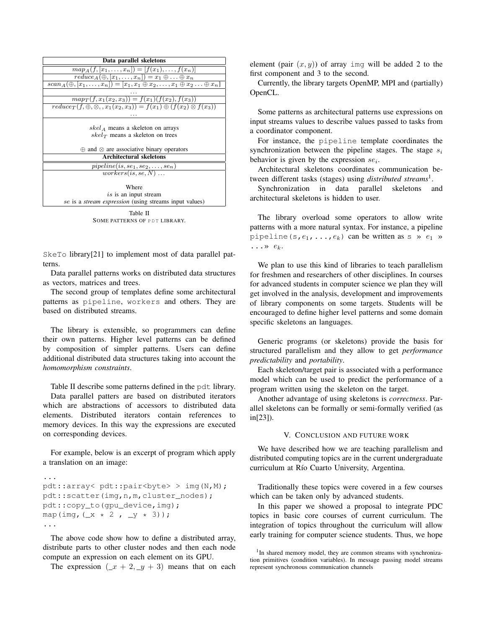| Data parallel skeletons                                                                                |  |  |
|--------------------------------------------------------------------------------------------------------|--|--|
| $map_A(f, [x_1, \ldots, x_n]) = [f(x_1), \ldots, f(x_n)]$                                              |  |  |
| $reduce_A(\oplus, [x_1, \ldots, x_n]) = x_1 \oplus \ldots \oplus x_n$                                  |  |  |
| $scan_A(\oplus, [x_1, \ldots, x_n]) = [x_1, x_1 \oplus x_2, \ldots, x_1 \oplus x_2 \ldots \oplus x_n]$ |  |  |
|                                                                                                        |  |  |
| $map_T(f, x_1(x_2, x_3)) = f(x_1)(f(x_2), f(x_3))$                                                     |  |  |
| $reduce_T(f, \oplus, \otimes, x_1(x_2,x_3)) = f(x_1) \oplus (f(x_2) \otimes f(x_3))$                   |  |  |
|                                                                                                        |  |  |
|                                                                                                        |  |  |
| $skel_A$ means a skeleton on arrays                                                                    |  |  |
| $skel_{\mathcal{T}}$ means a skeleton on trees                                                         |  |  |
|                                                                                                        |  |  |
| $\oplus$ and $\otimes$ are associative binary operators                                                |  |  |
| <b>Architectural skeletons</b>                                                                         |  |  |
| $piple line(is, se_1, se_2, \ldots, se_n)$                                                             |  |  |
| $works(is.se, N) \dots$                                                                                |  |  |
|                                                                                                        |  |  |
| Where                                                                                                  |  |  |
| <i>is</i> is an input stream                                                                           |  |  |
| se is a <i>stream expression</i> (using streams input values)                                          |  |  |
|                                                                                                        |  |  |

Table II SOME PATTERNS OF PDT LIBRARY.

SkeTo library[21] to implement most of data parallel patterns.

Data parallel patterns works on distributed data structures as vectors, matrices and trees.

The second group of templates define some architectural patterns as pipeline, workers and others. They are based on distributed streams.

The library is extensible, so programmers can define their own patterns. Higher level patterns can be defined by composition of simpler patterns. Users can define additional distributed data structures taking into account the *homomorphism constraints*.

Table II describe some patterns defined in the pdt library.

Data parallel patters are based on distributed iterators which are abstractions of accessors to distributed data elements. Distributed iterators contain references to memory devices. In this way the expressions are executed on corresponding devices.

For example, below is an excerpt of program which apply a translation on an image:

```
...
pdt::array< pdt::pair<br/>byte> > img(N,M);
pdt::scatter(img,n,m,cluster_nodes);
pdt::copy_to(gpu_device,img);
map(img, (\_ x * 2 , \_ y * 3));
...
```
The above code show how to define a distributed array, distribute parts to other cluster nodes and then each node compute an expression on each element on its GPU.

The expression  $(-x + 2, y + 3)$  means that on each

element (pair  $(x, y)$ ) of array img will be added 2 to the first component and 3 to the second.

Currently, the library targets OpenMP, MPI and (partially) OpenCL.

Some patterns as architectural patterns use expressions on input streams values to describe values passed to tasks from a coordinator component.

For instance, the pipeline template coordinates the synchronization between the pipeline stages. The stage  $s_i$ behavior is given by the expression  $se_i$ .

Architectural skeletons coordinates communication between different tasks (stages) using *distributed streams*<sup>1</sup> .

Synchronization in data parallel skeletons and architectural skeletons is hidden to user.

The library overload some operators to allow write patterns with a more natural syntax. For instance, a pipeline pipeline  $(s, e_1, \ldots, e_k)$  can be written as s »  $e_1$  »  $\ldots \rightarrow e_k$ .

We plan to use this kind of libraries to teach parallelism for freshmen and researchers of other disciplines. In courses for advanced students in computer science we plan they will get involved in the analysis, development and improvements of library components on some targets. Students will be encouraged to define higher level patterns and some domain specific skeletons an languages.

Generic programs (or skeletons) provide the basis for structured parallelism and they allow to get *performance predictability* and *portability*.

Each skeleton/target pair is associated with a performance model which can be used to predict the performance of a program written using the skeleton on the target.

Another advantage of using skeletons is *correctness*. Parallel skeletons can be formally or semi-formally verified (as in[23]).

### V. CONCLUSION AND FUTURE WORK

We have described how we are teaching parallelism and distributed computing topics are in the current undergraduate curriculum at Río Cuarto University, Argentina.

Traditionally these topics were covered in a few courses which can be taken only by advanced students.

In this paper we showed a proposal to integrate PDC topics in basic core courses of current curriculum. The integration of topics throughout the curriculum will allow early training for computer science students. Thus, we hope

<sup>&</sup>lt;sup>1</sup>In shared memory model, they are common streams with synchronization primitives (condition variables). In message passing model streams represent synchronous communication channels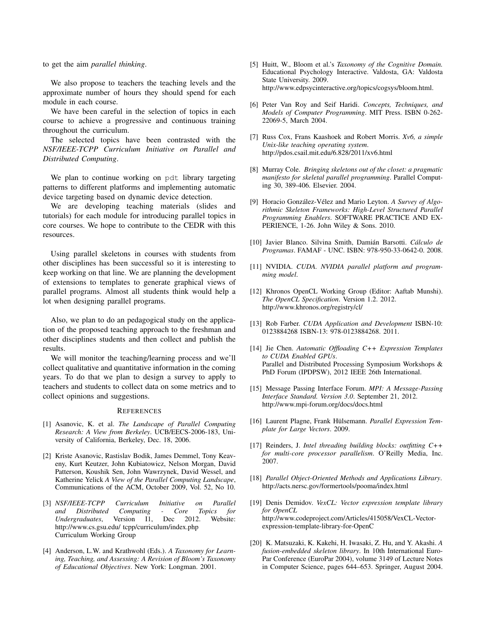to get the aim *parallel thinking*.

We also propose to teachers the teaching levels and the approximate number of hours they should spend for each module in each course.

We have been careful in the selection of topics in each course to achieve a progressive and continuous training throughout the curriculum.

The selected topics have been contrasted with the *NSF/IEEE-TCPP Curriculum Initiative on Parallel and Distributed Computing*.

We plan to continue working on pdt library targeting patterns to different platforms and implementing automatic device targeting based on dynamic device detection.

We are developing teaching materials (slides and tutorials) for each module for introducing parallel topics in core courses. We hope to contribute to the CEDR with this resources.

Using parallel skeletons in courses with students from other disciplines has been successful so it is interesting to keep working on that line. We are planning the development of extensions to templates to generate graphical views of parallel programs. Almost all students think would help a lot when designing parallel programs.

Also, we plan to do an pedagogical study on the application of the proposed teaching approach to the freshman and other disciplines students and then collect and publish the results.

We will monitor the teaching/learning process and we'll collect qualitative and quantitative information in the coming years. To do that we plan to design a survey to apply to teachers and students to collect data on some metrics and to collect opinions and suggestions.

#### **REFERENCES**

- [1] Asanovic, K. et al. *The Landscape of Parallel Computing Research: A View from Berkeley*. UCB/EECS-2006-183, University of California, Berkeley, Dec. 18, 2006.
- [2] Kriste Asanovic, Rastislav Bodik, James Demmel, Tony Keaveny, Kurt Keutzer, John Kubiatowicz, Nelson Morgan, David Patterson, Koushik Sen, John Wawrzynek, David Wessel, and Katherine Yelick *A View of the Parallel Computing Landscape*, Communications of the ACM, October 2009, Vol. 52, No 10.
- [3] *NSF/IEEE-TCPP Curriculum Initiative on Parallel and Distributed Computing - Core Topics for Undergraduates*, Version I1, Dec 2012. Website: http://www.cs.gsu.edu/ tcpp/curriculum/index.php Curriculum Working Group
- [4] Anderson, L.W. and Krathwohl (Eds.). *A Taxonomy for Learning, Teaching, and Assessing: A Revision of Bloom's Taxonomy of Educational Objectives*. New York: Longman. 2001.
- [5] Huitt, W., Bloom et al.'s *Taxonomy of the Cognitive Domain.* Educational Psychology Interactive. Valdosta, GA: Valdosta State University. 2009. http://www.edpsycinteractive.org/topics/cogsys/bloom.html.
- [6] Peter Van Roy and Seif Haridi. *Concepts, Techniques, and Models of Computer Programming*. MIT Press. ISBN 0-262- 22069-5, March 2004.
- [7] Russ Cox, Frans Kaashoek and Robert Morris. *Xv6, a simple Unix-like teaching operating system*. http://pdos.csail.mit.edu/6.828/2011/xv6.html
- [8] Murray Cole. *Bringing skeletons out of the closet: a pragmatic manifesto for skeletal parallel programming*. Parallel Computing 30, 389-406. Elsevier. 2004.
- [9] Horacio González-Vélez and Mario Leyton. *A Survey of Algorithmic Skeleton Frameworks: High-Level Structured Parallel Programming Enablers*. SOFTWARE PRACTICE AND EX-PERIENCE, 1-26. John Wiley & Sons. 2010.
- [10] Javier Blanco. Silvina Smith, Damián Barsotti. *Cálculo de Programas*. FAMAF - UNC. ISBN: 978-950-33-0642-0. 2008.
- [11] NVIDIA. *CUDA. NVIDIA parallel platform and programming model*.
- [12] Khronos OpenCL Working Group (Editor: Aaftab Munshi). *The OpenCL Specification*. Version 1.2. 2012. http://www.khronos.org/registry/cl/
- [13] Rob Farber. *CUDA Application and Development* ISBN-10: 0123884268 ISBN-13: 978-0123884268. 2011.
- [14] Jie Chen. *Automatic Offloading C++ Expression Templates to CUDA Enabled GPUs*. Parallel and Distributed Processing Symposium Workshops & PhD Forum (IPDPSW), 2012 IEEE 26th International.
- [15] Message Passing Interface Forum. *MPI: A Message-Passing Interface Standard. Version 3.0*. September 21, 2012. http://www.mpi-forum.org/docs/docs.html
- [16] Laurent Plagne, Frank Hülsemann. *Parallel Expression Template for Large Vectors*. 2009.
- [17] Reinders, J. *Intel threading building blocks: outfitting C++ for multi-core processor parallelism*. O'Reilly Media, Inc. 2007.
- [18] *Parallel Object-Oriented Methods and Applications Library*. http://acts.nersc.gov/formertools/pooma/index.html
- [19] Denis Demidov. *VexCL: Vector expression template library for OpenCL* http://www.codeproject.com/Articles/415058/VexCL-Vectorexpression-template-library-for-OpenC
- [20] K. Matsuzaki, K. Kakehi, H. Iwasaki, Z. Hu, and Y. Akashi. *A fusion-embedded skeleton library*. In 10th International Euro-Par Conference (EuroPar 2004), volume 3149 of Lecture Notes in Computer Science, pages 644–653. Springer, August 2004.